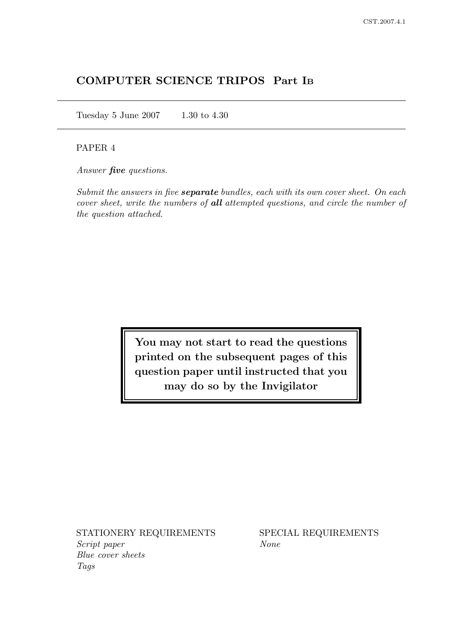# COMPUTER SCIENCE TRIPOS Part I<sup>B</sup>

Tuesday 5 June 2007 1.30 to 4.30

## PAPER 4

Answer **five** questions.

Submit the answers in five **separate** bundles, each with its own cover sheet. On each cover sheet, write the numbers of all attempted questions, and circle the number of the question attached.

> You may not start to read the questions printed on the subsequent pages of this question paper until instructed that you may do so by the Invigilator

STATIONERY REQUIREMENTS SPECIAL REQUIREMENTS Script paper None Blue cover sheets Tags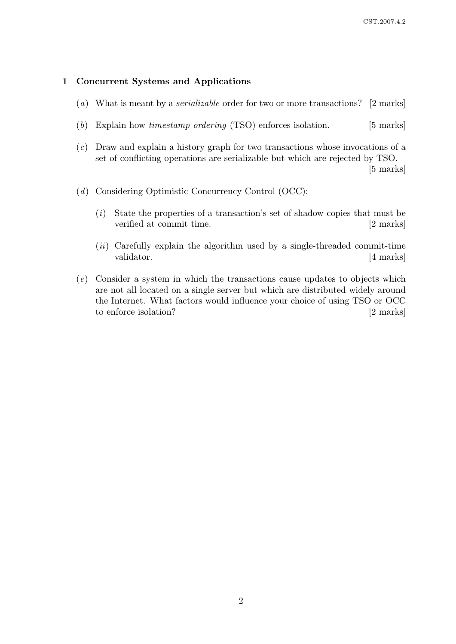### 1 Concurrent Systems and Applications

- (a) What is meant by a serializable order for two or more transactions? [2 marks]
- (b) Explain how timestamp ordering (TSO) enforces isolation. [5 marks]
- (c) Draw and explain a history graph for two transactions whose invocations of a set of conflicting operations are serializable but which are rejected by TSO. [5 marks]
- (d) Considering Optimistic Concurrency Control (OCC):
	- $(i)$  State the properties of a transaction's set of shadow copies that must be verified at commit time. [2 marks]
	- $(ii)$  Carefully explain the algorithm used by a single-threaded commit-time validator. [4 marks]
- (e) Consider a system in which the transactions cause updates to objects which are not all located on a single server but which are distributed widely around the Internet. What factors would influence your choice of using TSO or OCC to enforce isolation? [2 marks]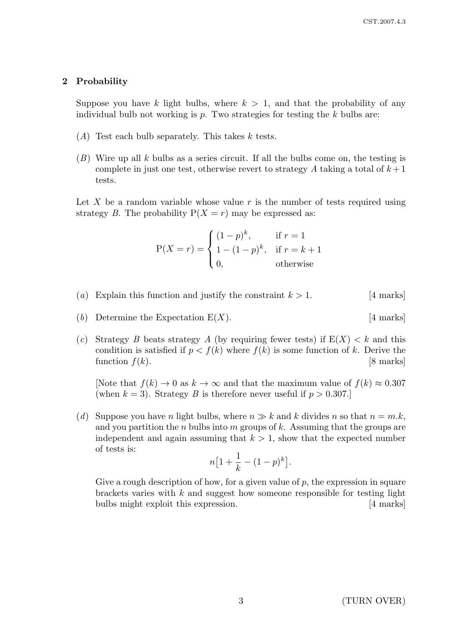### 2 Probability

Suppose you have k light bulbs, where  $k > 1$ , and that the probability of any individual bulb not working is  $p$ . Two strategies for testing the k bulbs are:

- $(A)$  Test each bulb separately. This takes k tests.
- $(B)$  Wire up all k bulbs as a series circuit. If all the bulbs come on, the testing is complete in just one test, otherwise revert to strategy A taking a total of  $k+1$ tests.

Let X be a random variable whose value r is the number of tests required using strategy B. The probability  $P(X = r)$  may be expressed as:

$$
P(X=r) = \begin{cases} (1-p)^k, & \text{if } r = 1\\ 1 - (1-p)^k, & \text{if } r = k+1\\ 0, & \text{otherwise} \end{cases}
$$

- (a) Explain this function and justify the constraint  $k > 1$ . [4 marks]
- (b) Determine the Expectation  $E(X)$ . [4 marks]
- (c) Strategy B beats strategy A (by requiring fewer tests) if  $E(X) < k$  and this condition is satisfied if  $p < f(k)$  where  $f(k)$  is some function of k. Derive the function  $f(k)$ . [8 marks]

[Note that  $f(k) \to 0$  as  $k \to \infty$  and that the maximum value of  $f(k) \approx 0.307$ (when  $k = 3$ ). Strategy B is therefore never useful if  $p > 0.307$ .)

(d) Suppose you have n light bulbs, where  $n \gg k$  and k divides n so that  $n = m.k$ , and you partition the n bulbs into m groups of k. Assuming that the groups are independent and again assuming that  $k > 1$ , show that the expected number of tests is:

$$
n\big[1+\frac{1}{k}-(1-p)^k\big].
$$

Give a rough description of how, for a given value of  $p$ , the expression in square brackets varies with  $k$  and suggest how someone responsible for testing light bulbs might exploit this expression. [4 marks]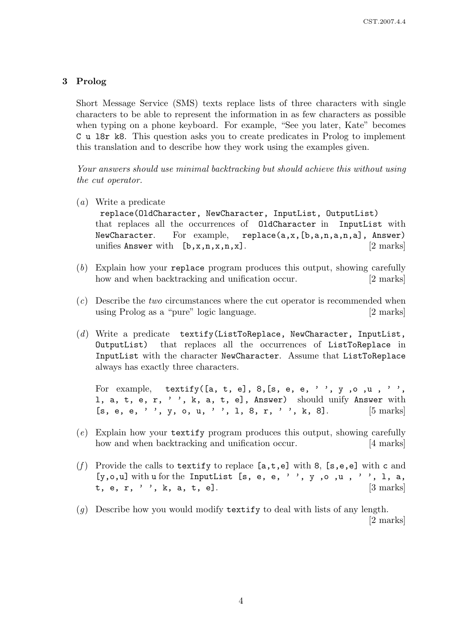## 3 Prolog

Short Message Service (SMS) texts replace lists of three characters with single characters to be able to represent the information in as few characters as possible when typing on a phone keyboard. For example, "See you later, Kate" becomes C u l8r k8. This question asks you to create predicates in Prolog to implement this translation and to describe how they work using the examples given.

Your answers should use minimal backtracking but should achieve this without using the cut operator.

(a) Write a predicate

replace(OldCharacter, NewCharacter, InputList, OutputList) that replaces all the occurrences of OldCharacter in InputList with NewCharacter. For example, replace(a,x,[b,a,n,a,n,a], Answer) unifies Answer with  $[b, x, n, x, n, x]$ . [2 marks]

- (b) Explain how your replace program produces this output, showing carefully how and when backtracking and unification occur. [2 marks]
- (c) Describe the two circumstances where the cut operator is recommended when using Prolog as a "pure" logic language. [2 marks]
- $(d)$  Write a predicate textify(ListToReplace, NewCharacter, InputList, OutputList) that replaces all the occurrences of ListToReplace in InputList with the character NewCharacter. Assume that ListToReplace always has exactly three characters.

For example, textify([a, t, e], 8, [s, e, e, '', y, o, u, '', l, a, t, e, r, ' ', k, a, t, e], Answer) should unify Answer with [s, e, e, '', y, o, u, '', 1, 8, r, '', k, 8].  $[5 \text{ marks}]$ 

- (e) Explain how your textify program produces this output, showing carefully how and when backtracking and unification occur. [4 marks]
- (f) Provide the calls to textify to replace  $[a, t, e]$  with 8,  $[s, e, e]$  with c and [y,o,u] with u for the InputList [s, e, e, '', y,o,u,'', l, a, t, e, r, '', k, a, t, e].  $[3 \text{ marks}]$
- (q) Describe how you would modify textify to deal with lists of any length. [2 marks]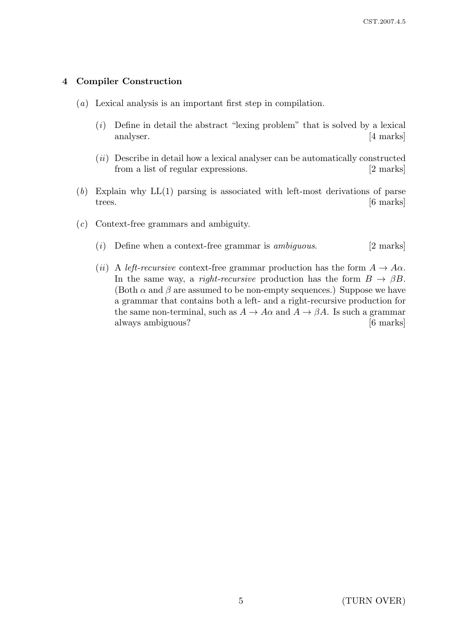## 4 Compiler Construction

- (a) Lexical analysis is an important first step in compilation.
	- $(i)$  Define in detail the abstract "lexing problem" that is solved by a lexical analyser. [4 marks]
	- $(ii)$  Describe in detail how a lexical analyser can be automatically constructed from a list of regular expressions. [2 marks]
- $(b)$  Explain why  $LL(1)$  parsing is associated with left-most derivations of parse trees.  $\boxed{6 \text{ marks}}$
- (c) Context-free grammars and ambiguity.
	- (i) Define when a context-free grammar is *ambiguous*. [2 marks]
	- (ii) A left-recursive context-free grammar production has the form  $A \to A\alpha$ . In the same way, a right-recursive production has the form  $B \to \beta B$ . (Both  $\alpha$  and  $\beta$  are assumed to be non-empty sequences.) Suppose we have a grammar that contains both a left- and a right-recursive production for the same non-terminal, such as  $A \to A\alpha$  and  $A \to \beta A$ . Is such a grammar always ambiguous? [6 marks]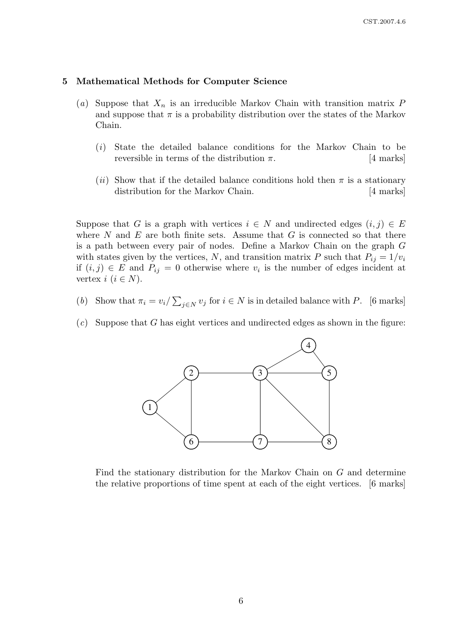#### 5 Mathematical Methods for Computer Science

- (a) Suppose that  $X_n$  is an irreducible Markov Chain with transition matrix P and suppose that  $\pi$  is a probability distribution over the states of the Markov Chain.
	- (i) State the detailed balance conditions for the Markov Chain to be reversible in terms of the distribution  $\pi$ . [4 marks]
	- (ii) Show that if the detailed balance conditions hold then  $\pi$  is a stationary distribution for the Markov Chain. [4 marks]

Suppose that G is a graph with vertices  $i \in N$  and undirected edges  $(i, j) \in E$ where  $N$  and  $E$  are both finite sets. Assume that  $G$  is connected so that there is a path between every pair of nodes. Define a Markov Chain on the graph G with states given by the vertices, N, and transition matrix P such that  $P_{ij} = 1/v_i$ if  $(i, j) \in E$  and  $P_{ij} = 0$  otherwise where  $v_i$  is the number of edges incident at vertex  $i$   $(i \in N)$ .

- (b) Show that  $\pi_i = v_i / \sum_{j \in N} v_j$  for  $i \in N$  is in detailed balance with P. [6 marks]
- $(c)$  Suppose that G has eight vertices and undirected edges as shown in the figure:



Find the stationary distribution for the Markov Chain on  $G$  and determine the relative proportions of time spent at each of the eight vertices. [6 marks]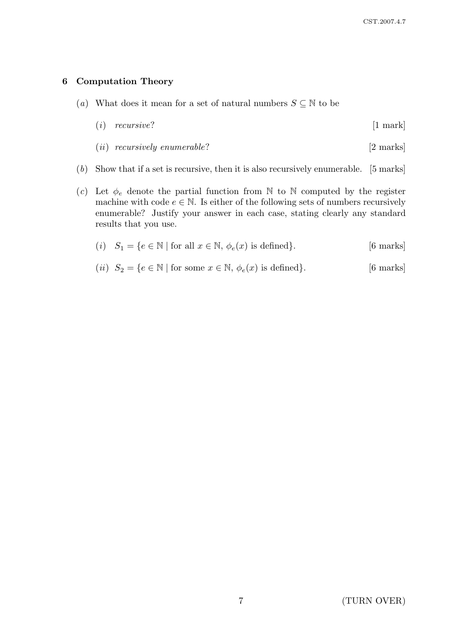### 6 Computation Theory

- (a) What does it mean for a set of natural numbers  $S \subseteq \mathbb{N}$  to be
	- $(i)$  recursive? [1 mark]
	- (*ii*) recursively enumerable?  $[2 \text{ marks}]$
- (b) Show that if a set is recursive, then it is also recursively enumerable. [5 marks]
- (c) Let  $\phi_e$  denote the partial function from N to N computed by the register machine with code  $e \in \mathbb{N}$ . Is either of the following sets of numbers recursively enumerable? Justify your answer in each case, stating clearly any standard results that you use.
	- (i)  $S_1 = \{e \in \mathbb{N} \mid \text{for all } x \in \mathbb{N}, \phi_e(x) \text{ is defined}\}.$  [6 marks]
	- (*ii*)  $S_2 = \{e \in \mathbb{N} \mid \text{for some } x \in \mathbb{N}, \phi_e(x) \text{ is defined}\}.$  [6 marks]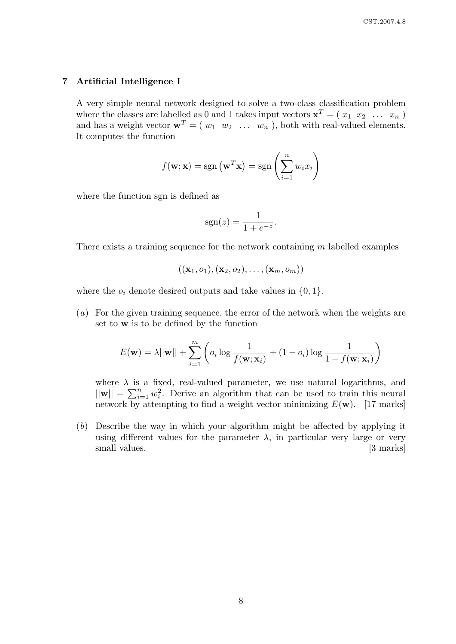### 7 Artificial Intelligence I

A very simple neural network designed to solve a two-class classification problem where the classes are labelled as 0 and 1 takes input vectors  $\mathbf{x}^T = (x_1, x_2, \ldots, x_n)$ and has a weight vector  $\mathbf{w}^T = (w_1 \ w_2 \ \dots \ w_n)$ , both with real-valued elements. It computes the function

$$
f(\mathbf{w}; \mathbf{x}) = sgn(\mathbf{w}^T \mathbf{x}) = sgn\left(\sum_{i=1}^n w_i x_i\right)
$$

where the function sgn is defined as

$$
sgn(z) = \frac{1}{1 + e^{-z}}.
$$

There exists a training sequence for the network containing m labelled examples

$$
((\mathbf{x}_1,o_1),(\mathbf{x}_2,o_2),\ldots,(\mathbf{x}_m,o_m))
$$

where the  $o_i$  denote desired outputs and take values in  $\{0, 1\}.$ 

(a) For the given training sequence, the error of the network when the weights are set to w is to be defined by the function

$$
E(\mathbf{w}) = \lambda ||\mathbf{w}|| + \sum_{i=1}^{m} \left( o_i \log \frac{1}{f(\mathbf{w}; \mathbf{x}_i)} + (1 - o_i) \log \frac{1}{1 - f(\mathbf{w}; \mathbf{x}_i)} \right)
$$

where  $\lambda$  is a fixed, real-valued parameter, we use natural logarithms, and  $||\mathbf{w}|| = \sum_{i=1}^{n} w_i^2$ . Derive an algorithm that can be used to train this neural network by attempting to find a weight vector minimizing  $E(\mathbf{w})$ . [17 marks]

(b) Describe the way in which your algorithm might be affected by applying it using different values for the parameter  $\lambda$ , in particular very large or very small values. [3 marks]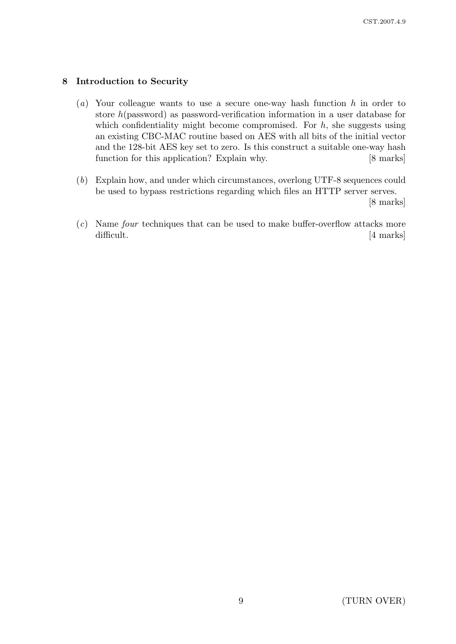## 8 Introduction to Security

- (a) Your colleague wants to use a secure one-way hash function  $h$  in order to store h(password) as password-verification information in a user database for which confidentiality might become compromised. For  $h$ , she suggests using an existing CBC-MAC routine based on AES with all bits of the initial vector and the 128-bit AES key set to zero. Is this construct a suitable one-way hash function for this application? Explain why. [8 marks]
- (b) Explain how, and under which circumstances, overlong UTF-8 sequences could be used to bypass restrictions regarding which files an HTTP server serves.

[8 marks]

(c) Name four techniques that can be used to make buffer-overflow attacks more difficult. [4 marks]